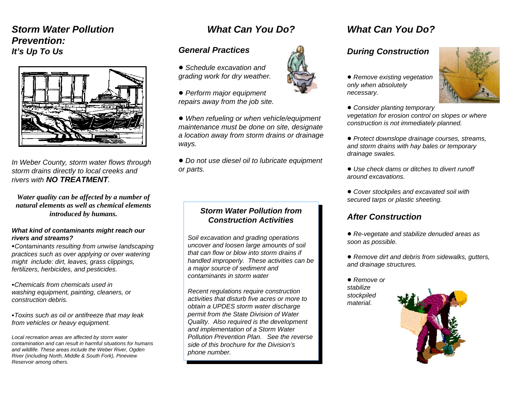## *Storm Water PollutionPrevention:It's Up To Us*



*In Weber County, storm water flows through storm drains directly to local creeks and rivers with NO TREATMENT.* 

*Water quality can be affected by a number of natural elements as well as chemical elementsintroduced by humans.*

#### *What kind of contaminants might reach our rivers and streams?*

<sup>C</sup>*Contaminants resulting from unwise landscaping practices such as over applying or over watering might include: dirt, leaves, grass clippings, fertilizers, herbicides, and pesticides.*

C*Chemicals from chemicals used inwashing equipment, painting, cleaners, or construction debris.*

<sup>C</sup>*Toxins such as oil or antifreeze that may leak from vehicles or heavy equipment.*

*Local recreation areas are affected by storm water contamination and can result in harmful situations for humansand wildlife. These areas include the Weber River, Ogden River (including North, Middle & South Fork), Pineview Reservoir among others.*

## *What Can You Do?*

#### *General Practices*

- ! *Schedule excavation andgrading work for dry weather.*
- ! *Perform major equipment repairs away from the job site.*

! *When refueling or when vehicle/equipment maintenance must be done on site, designate a location away from storm drains or drainage ways.*

! *Do not use diesel oil to lubricate equipment or parts.*

#### *Storm Water Pollution fromConstruction Activities*

*Soil excavation and grading operations uncover and loosen large amounts of soil that can flow or blow into storm drains ifhandled improperly. These activities can be a major source of sediment and contaminants in storm water*

*Recent regulations require construction activities that disturb five acres or more toobtain a UPDES storm water discharge permit from the State Division of Water Quality. Also required is the development and implementation of a Storm Water Pollution Prevention Plan. See the reverseside of this brochure for the Division's phone number.*

# *What Can You Do?*

### *During Construction*

! *Remove existing vegetation only when absolutely necessary.*



- ! *Consider planting temporary vegetation for erosion control on slopes or where construction is not immediately planned.*
- ! *Protect downslope drainage courses, streams, and storm drains with hay bales or temporary drainage swales.*
- ! *Use check dams or ditches to divert runoffaround excavations.*
- ! *Cover stockpiles and excavated soil with secured tarps or plastic sheeting.*

### *After Construction*

- ! *Re-vegetate and stabilize denuded areas as soon as possible.*
- ! *Remove dirt and debris from sidewalks, gutters, and drainage structures.*
- ! *Remove orstabilizestockpiled material.*